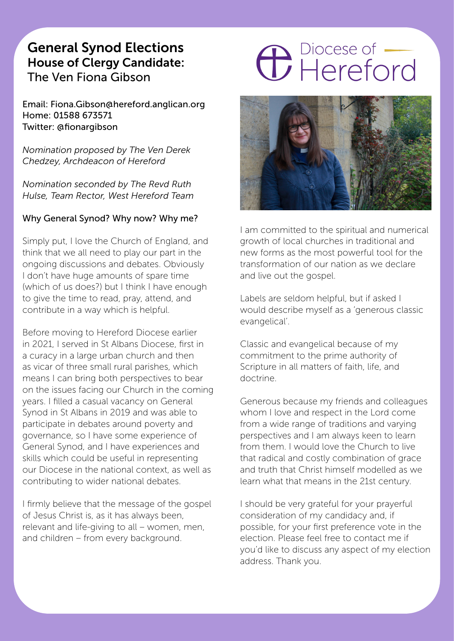# General Synod Elections House of Clergy Candidate: The Ven Fiona Gibson

Email: Fiona.Gibson@hereford.anglican.org Home: 01588 673571 Twitter: @fionargibson

*Nomination proposed by The Ven Derek Chedzey, Archdeacon of Hereford*

*Nomination seconded by The Revd Ruth Hulse, Team Rector, West Hereford Team*

#### Why General Synod? Why now? Why me?

Simply put, I love the Church of England, and think that we all need to play our part in the ongoing discussions and debates. Obviously I don't have huge amounts of spare time (which of us does?) but I think I have enough to give the time to read, pray, attend, and contribute in a way which is helpful.

Before moving to Hereford Diocese earlier in 2021, I served in St Albans Diocese, first in a curacy in a large urban church and then as vicar of three small rural parishes, which means I can bring both perspectives to bear on the issues facing our Church in the coming years. I filled a casual vacancy on General Synod in St Albans in 2019 and was able to participate in debates around poverty and governance, so I have some experience of General Synod, and I have experiences and skills which could be useful in representing our Diocese in the national context, as well as contributing to wider national debates.

I firmly believe that the message of the gospel of Jesus Christ is, as it has always been, relevant and life-giving to all – women, men, and children – from every background.

# **C** Piocese of



I am committed to the spiritual and numerical growth of local churches in traditional and new forms as the most powerful tool for the transformation of our nation as we declare and live out the gospel.

Labels are seldom helpful, but if asked I would describe myself as a 'generous classic evangelical'.

Classic and evangelical because of my commitment to the prime authority of Scripture in all matters of faith, life, and doctrine.

Generous because my friends and colleagues whom I love and respect in the Lord come from a wide range of traditions and varying perspectives and I am always keen to learn from them. I would love the Church to live that radical and costly combination of grace and truth that Christ himself modelled as we learn what that means in the 21st century.

I should be very grateful for your prayerful consideration of my candidacy and, if possible, for your first preference vote in the election. Please feel free to contact me if you'd like to discuss any aspect of my election address. Thank you.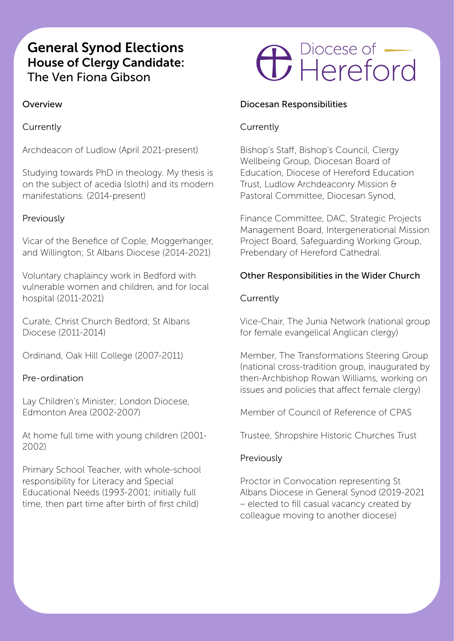# General Synod Elections House of Clergy Candidate: The Ven Fiona Gibson

### Overview

Currently

Archdeacon of Ludlow (April 2021-present)

Studying towards PhD in theology. My thesis is on the subject of acedia (sloth) and its modern manifestations. (2014-present)

#### Previously

Vicar of the Benefice of Cople, Moggerhanger, and Willington; St Albans Diocese (2014-2021)

Voluntary chaplaincy work in Bedford with vulnerable women and children, and for local hospital (2011-2021)

Curate, Christ Church Bedford; St Albans Diocese (2011-2014)

Ordinand, Oak Hill College (2007-2011)

#### Pre-ordination

Lay Children's Minister; London Diocese, Edmonton Area (2002-2007)

At home full time with young children (2001- 2002)

Primary School Teacher, with whole-school responsibility for Literacy and Special Educational Needs (1993-2001; initially full time, then part time after birth of first child)

# **C** Piocese of

#### Diocesan Responsibilities

### Currently

Bishop's Staff, Bishop's Council, Clergy Wellbeing Group, Diocesan Board of Education, Diocese of Hereford Education Trust, Ludlow Archdeaconry Mission & Pastoral Committee, Diocesan Synod,

Finance Committee, DAC, Strategic Projects Management Board, Intergenerational Mission Project Board, Safeguarding Working Group, Prebendary of Hereford Cathedral.

#### Other Responsibilities in the Wider Church

#### **Currently**

Vice-Chair, The Junia Network (national group for female evangelical Anglican clergy)

Member, The Transformations Steering Group (national cross-tradition group, inaugurated by then-Archbishop Rowan Williams, working on issues and policies that affect female clergy)

Member of Council of Reference of CPAS

Trustee, Shropshire Historic Churches Trust

#### Previously

Proctor in Convocation representing St Albans Diocese in General Synod (2019-2021 – elected to fill casual vacancy created by colleague moving to another diocese)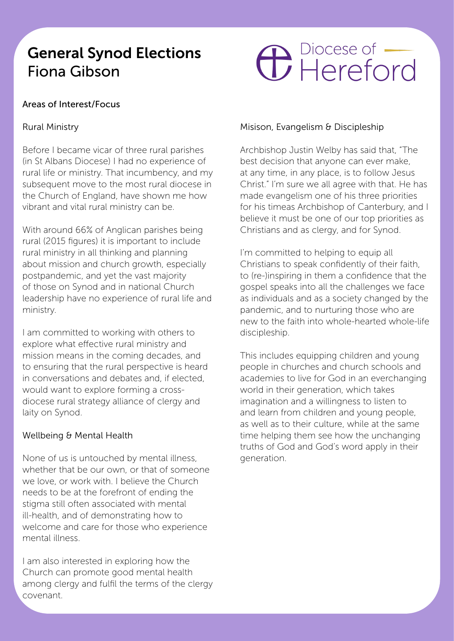# General Synod Elections Fiona Gibson

# **C** Piocese of

## Areas of Interest/Focus

## Rural Ministry

Before I became vicar of three rural parishes (in St Albans Diocese) I had no experience of rural life or ministry. That incumbency, and my subsequent move to the most rural diocese in the Church of England, have shown me how vibrant and vital rural ministry can be.

With around 66% of Anglican parishes being rural (2015 figures) it is important to include rural ministry in all thinking and planning about mission and church growth, especially postpandemic, and yet the vast majority of those on Synod and in national Church leadership have no experience of rural life and ministry.

I am committed to working with others to explore what effective rural ministry and mission means in the coming decades, and to ensuring that the rural perspective is heard in conversations and debates and, if elected, would want to explore forming a crossdiocese rural strategy alliance of clergy and laity on Synod.

### Wellbeing & Mental Health

None of us is untouched by mental illness, whether that be our own, or that of someone we love, or work with. I believe the Church. needs to be at the forefront of ending the stigma still often associated with mental ill-health, and of demonstrating how to welcome and care for those who experience mental illness.

I am also interested in exploring how the Church can promote good mental health among clergy and fulfil the terms of the clergy covenant.

### Misison, Evangelism & Discipleship

Archbishop Justin Welby has said that, "The best decision that anyone can ever make, at any time, in any place, is to follow Jesus Christ." I'm sure we all agree with that. He has made evangelism one of his three priorities for his timeas Archbishop of Canterbury, and I believe it must be one of our top priorities as Christians and as clergy, and for Synod.

I'm committed to helping to equip all Christians to speak confidently of their faith, to (re-)inspiring in them a confidence that the gospel speaks into all the challenges we face as individuals and as a society changed by the pandemic, and to nurturing those who are new to the faith into whole-hearted whole-life discipleship.

This includes equipping children and young people in churches and church schools and academies to live for God in an everchanging world in their generation, which takes imagination and a willingness to listen to and learn from children and young people, as well as to their culture, while at the same time helping them see how the unchanging truths of God and God's word apply in their generation.